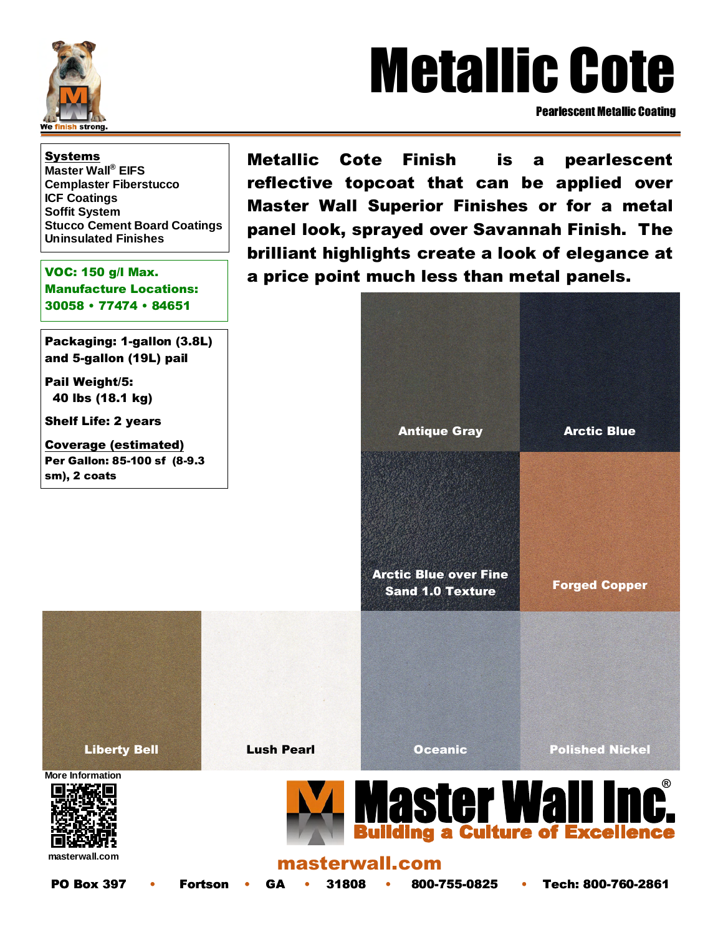

# Metallic Cote

Pearlescent Metallic Coating

Systems **Master Wall® EIFS Cemplaster Fiberstucco ICF Coatings Soffit System Stucco Cement Board Coatings Uninsulated Finishes** 

VOC: 150 g/l Max. Manufacture Locations: 30058 • 77474 • 84651

Packaging: 1-gallon (3.8L) and 5-gallon (19L) pail

Pail Weight/5: 40 lbs (18.1 kg)

Shelf Life: 2 years

Coverage (estimated) Per Gallon: 85-100 sf (8-9.3 sm), 2 coats

Metallic Cote Finish is a pearlescent reflective topcoat that can be applied over Master Wall Superior Finishes or for a metal panel look, sprayed over Savannah Finish. The brilliant highlights create a look of elegance at a price point much less than metal panels.

|                                                             | <b>Antique Gray</b>          | <b>Arctic Blue</b>     |
|-------------------------------------------------------------|------------------------------|------------------------|
|                                                             | <b>Arctic Blue over Fine</b> |                        |
|                                                             | <b>Sand 1.0 Texture</b>      | <b>Forged Copper</b>   |
|                                                             |                              |                        |
| <b>Lush Pearl</b>                                           | <b>Oceanic</b>               | <b>Polished Nickel</b> |
| <b>Master Wall Inc.</b><br>Building a Culture of Excellence |                              |                        |

**masterwall.com** 

**More Information** 

**Liberty Bell** 

masterwall.com

PO Box 397 • Fortson • GA • 31808 • 800-755-0825 • Tech: 800-760-2861